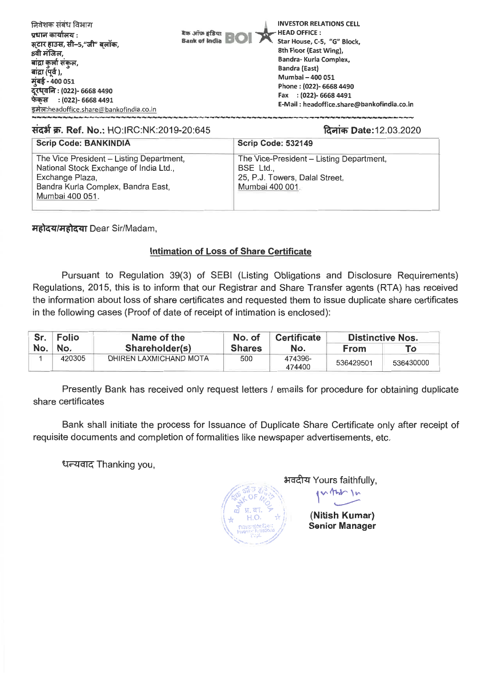| निवेशक संबंध विभाग<br>प्रधान कार्यालय :<br>सटार हाउस, सी–5,"जी" बलॉक,<br>8वी मंजिल,<br>बांद्रा कुर्ला संकुल,<br>बांद्रा (पूर्व ),<br>मुंबई - 400 051<br>दूरध्वनिः (022)- 6668 4490<br>फेकस<br>: (022)- 6668 4491 | बैंक ऑफ़ इंडिया<br><b>Bank of India</b> | <b>INVESTOR RELATIONS CELL</b><br>HEAD OFFICE:<br>Star House, C-5, "G" Block,<br>8th Floor (East Wing),<br>Bandra- Kurla Complex,<br><b>Bandra (East)</b><br>Mumbai - 400 051<br>Phone: (022)- 6668 4490<br>Fax : (022)- 6668 4491<br>E-Mail: headoffice.share@bankofindia.co.in |
|------------------------------------------------------------------------------------------------------------------------------------------------------------------------------------------------------------------|-----------------------------------------|----------------------------------------------------------------------------------------------------------------------------------------------------------------------------------------------------------------------------------------------------------------------------------|
| इमेल:headoffice.share@bankofindia.co.in                                                                                                                                                                          |                                         |                                                                                                                                                                                                                                                                                  |

## **ItZtW.. Ref. No.:** HO:IRC:NK:2019-20:645 **ouch Date:12.03.2020**

| <b>Scrip Code: BANKINDIA</b>                                                                                                                                   | <b>Scrip Code: 532149</b>                                                                                  |
|----------------------------------------------------------------------------------------------------------------------------------------------------------------|------------------------------------------------------------------------------------------------------------|
| The Vice President - Listing Department,<br>National Stock Exchange of India Ltd.,<br>Exchange Plaza,<br>Bandra Kurla Complex, Bandra East,<br>Mumbai 400 051. | The Vice-President - Listing Department,<br>BSE Ltd.,<br>25, P.J. Towers, Dalal Street,<br>Mumbai 400 001. |

*Heical/Heican Dear Sir/Madam,* 

## **Intimation of Loss of Share Certificate**

Pursuant to Regulation 39(3) of SEBI (Listing Obligations and Disclosure Requirements) Regulations, 2015, this is to inform that our Registrar and Share Transfer agents (RTA) has received the information about loss of share certificates and requested them to issue duplicate share certificates in the following cases (Proof of date of receipt of intimation is enclosed):

| Sr.   | <b>Folio</b> | Name of the            | No. of        | <b>Certificate</b> | <b>Distinctive Nos.</b> |           |
|-------|--------------|------------------------|---------------|--------------------|-------------------------|-----------|
| No. I | ∖No.         | Shareholder(s)         | <b>Shares</b> | No.                | <b>From</b>             | Тο        |
|       | 420305       | DHIREN LAXMICHAND MOTA | 500           | 474396-<br>474400  | 536429501               | 536430000 |

Presently Bank has received only request letters / emails for procedure for obtaining duplicate share certificates

Bank shall initiate the process for Issuance of Duplicate Share Certificate only after receipt of requisite documents and completion of formalities like newspaper advertisements, etc.

धन्यवाद Thanking you,

अवदीय Yours faithfully,  $\overline{\phantom{m}}$ **(Nitish Kumar) Senior Manager** 

te.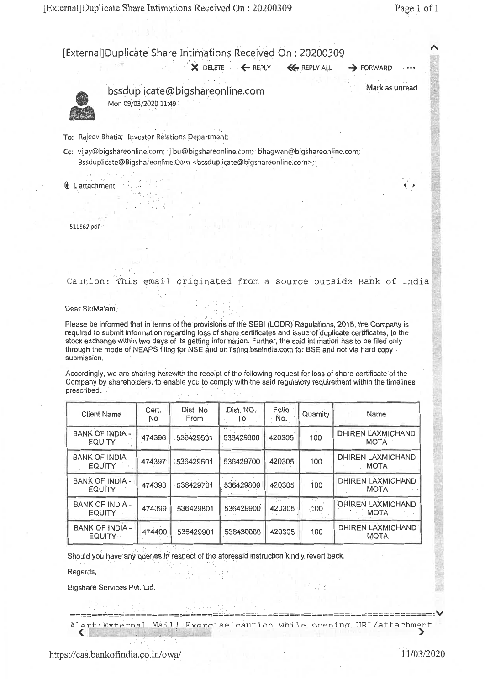**4** ►

Oi

[External]Duplicate Share Intimations Received On : 20200309  $\times$  DELETE  $\times$  REPLY  $\times$  REPLY ALL  $\rightarrow$  FORWARD



bssduplicate@bigshareonline.com Mon 09/03/2020 11:49

Mark as unread

To: Rajeev Bhatia; Investor Relations Department;

Cc: vijay@bigshareonline.com; jibu@bigshareonline.com; bhagwan@bigshareonline.com; Bssduplicate@Bigshareonline.Com <bssduplicate@bigshareonline.com>;

**U** 1 attachment

511562.pdf $\cdots$ 

Caution: This email originated from a source outside Bank of India

#### Dear Sir/Ma'am,

Please be informed that in terms of the provisions of the SEBI (LODR) Regulations, 2015, the Company is required to submit information regarding loss of share certificates and issue of duplicate certificates, to the stock exchange within two days of its getting information. Further, the said intimation has to be filed only through the mode of NEAPS filing for NSE and on listing.bseindia.com for BSE and not via hard copy submission.

Accordingly, we are sharing herewith the receipt of the following request for loss of share certificate of the Company by shareholders, to enable you to comply with the said regulatory requirement within the timelines prescribed.

| <b>Client Name</b>                      | Cert.<br>No | Dist. No<br>From | Dist. NO.<br>∶To | Folio<br>· No. | Quantity             | Name                                    |
|-----------------------------------------|-------------|------------------|------------------|----------------|----------------------|-----------------------------------------|
| <b>BANK OF INDIA -</b><br><b>EQUITY</b> | 474396      | 536429501        | 536429600        | 420305         | 100                  | <b>DHIREN LAXMICHAND</b><br><b>MOTA</b> |
| <b>BANK OF INDIA -</b><br><b>EQUITY</b> | 474397      | 536429601        | 536429700        | 420305         | 100                  | DHIREN LAXMICHAND<br><b>MOTA</b>        |
| <b>BANK OF INDIA -</b><br><b>EQUITY</b> | 474398      | 536429701        | 536429800        | 420305         | 100                  | <b>DHIREN LAXMICHAND</b><br><b>MOTA</b> |
| <b>BANK OF INDIA -</b><br>EQUITY -      | 474399      | 536429801        | 536429900        | 420305         | $\sim$ $\sim$<br>100 | <b>DHIREN LAXMICHAND</b><br><b>MOTA</b> |
| <b>BANK OF INDIA -</b><br><b>EQUITY</b> | 474400      | 536429901        | 536430000        | 420305         | 100                  | DHIREN LAXMICHAND<br><b>MOTA</b>        |

Should you have any queries in respect of the aforesaid instruction kindly revert back.

Regards,

Bigshare Services Pvt. Ltd.

v ======= ert:External Mail! Exercise caution while opening HRT /attachment

切り